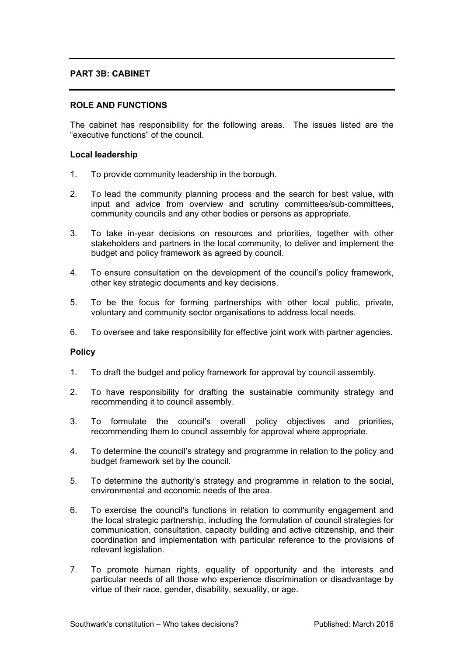# **PART 3B: CABINET**

# **ROLE AND FUNCTIONS**

The cabinet has responsibility for the following areas. The issues listed are the "executive functions" of the council.

## **Local leadership**

- 1. To provide community leadership in the borough.
- 2. To lead the community planning process and the search for best value, with input and advice from overview and scrutiny committees/sub-committees, community councils and any other bodies or persons as appropriate.
- 3. To take in-year decisions on resources and priorities, together with other stakeholders and partners in the local community, to deliver and implement the budget and policy framework as agreed by council.
- 4. To ensure consultation on the development of the council's policy framework, other key strategic documents and key decisions.
- 5. To be the focus for forming partnerships with other local public, private, voluntary and community sector organisations to address local needs.
- 6. To oversee and take responsibility for effective joint work with partner agencies.

## **Policy**

- 1. To draft the budget and policy framework for approval by council assembly.
- 2. To have responsibility for drafting the sustainable community strategy and recommending it to council assembly.
- 3. To formulate the council's overall policy objectives and priorities, recommending them to council assembly for approval where appropriate.
- 4. To determine the council's strategy and programme in relation to the policy and budget framework set by the council.
- 5. To determine the authority's strategy and programme in relation to the social, environmental and economic needs of the area.
- 6. To exercise the council's functions in relation to community engagement and the local strategic partnership, including the formulation of council strategies for communication, consultation, capacity building and active citizenship, and their coordination and implementation with particular reference to the provisions of relevant legislation.
- 7. To promote human rights, equality of opportunity and the interests and particular needs of all those who experience discrimination or disadvantage by virtue of their race, gender, disability, sexuality, or age.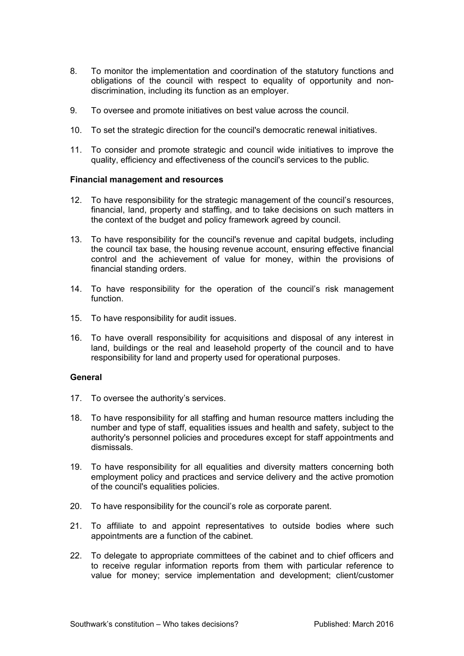- 8. To monitor the implementation and coordination of the statutory functions and obligations of the council with respect to equality of opportunity and nondiscrimination, including its function as an employer.
- 9. To oversee and promote initiatives on best value across the council.
- 10. To set the strategic direction for the council's democratic renewal initiatives.
- 11. To consider and promote strategic and council wide initiatives to improve the quality, efficiency and effectiveness of the council's services to the public.

# **Financial management and resources**

- 12. To have responsibility for the strategic management of the council's resources, financial, land, property and staffing, and to take decisions on such matters in the context of the budget and policy framework agreed by council.
- 13. To have responsibility for the council's revenue and capital budgets, including the council tax base, the housing revenue account, ensuring effective financial control and the achievement of value for money, within the provisions of financial standing orders.
- 14. To have responsibility for the operation of the council's risk management function.
- 15. To have responsibility for audit issues.
- 16. To have overall responsibility for acquisitions and disposal of any interest in land, buildings or the real and leasehold property of the council and to have responsibility for land and property used for operational purposes.

## **General**

- 17. To oversee the authority's services.
- 18. To have responsibility for all staffing and human resource matters including the number and type of staff, equalities issues and health and safety, subject to the authority's personnel policies and procedures except for staff appointments and dismissals.
- 19. To have responsibility for all equalities and diversity matters concerning both employment policy and practices and service delivery and the active promotion of the council's equalities policies.
- 20. To have responsibility for the council's role as corporate parent.
- 21. To affiliate to and appoint representatives to outside bodies where such appointments are a function of the cabinet.
- 22. To delegate to appropriate committees of the cabinet and to chief officers and to receive regular information reports from them with particular reference to value for money; service implementation and development; client/customer